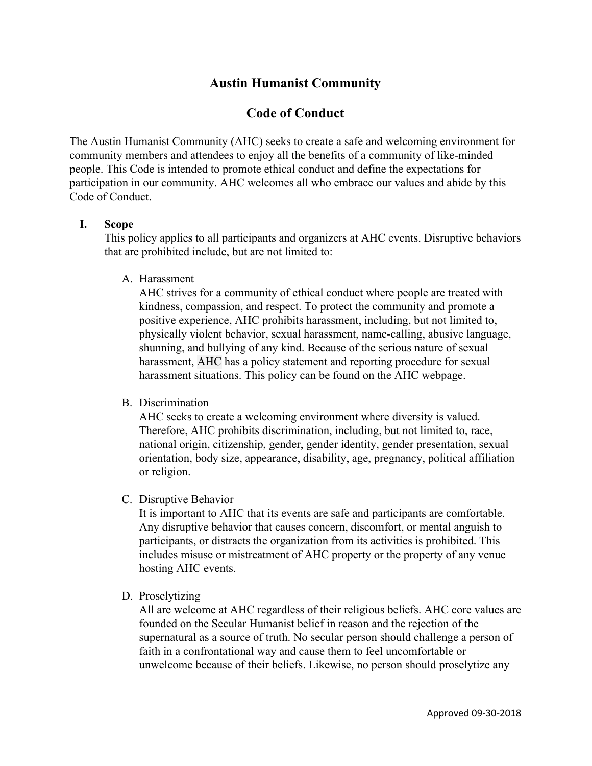# **Austin Humanist Community**

## **Code of Conduct**

The Austin Humanist Community (AHC) seeks to create a safe and welcoming environment for community members and attendees to enjoy all the benefits of a community of like-minded people. This Code is intended to promote ethical conduct and define the expectations for participation in our community. AHC welcomes all who embrace our values and abide by this Code of Conduct.

#### **I. Scope**

This policy applies to all participants and organizers at AHC events. Disruptive behaviors that are prohibited include, but are not limited to:

A. Harassment

AHC strives for a community of ethical conduct where people are treated with kindness, compassion, and respect. To protect the community and promote a positive experience, AHC prohibits harassment, including, but not limited to, physically violent behavior, sexual harassment, name-calling, abusive language, shunning, and bullying of any kind. Because of the serious nature of sexual harassment, AHC has a policy statement and reporting procedure for sexual harassment situations. This policy can be found on the AHC webpage.

B. Discrimination

AHC seeks to create a welcoming environment where diversity is valued. Therefore, AHC prohibits discrimination, including, but not limited to, race, national origin, citizenship, gender, gender identity, gender presentation, sexual orientation, body size, appearance, disability, age, pregnancy, political affiliation or religion.

C. Disruptive Behavior

It is important to AHC that its events are safe and participants are comfortable. Any disruptive behavior that causes concern, discomfort, or mental anguish to participants, or distracts the organization from its activities is prohibited. This includes misuse or mistreatment of AHC property or the property of any venue hosting AHC events.

D. Proselytizing

All are welcome at AHC regardless of their religious beliefs. AHC core values are founded on the Secular Humanist belief in reason and the rejection of the supernatural as a source of truth. No secular person should challenge a person of faith in a confrontational way and cause them to feel uncomfortable or unwelcome because of their beliefs. Likewise, no person should proselytize any